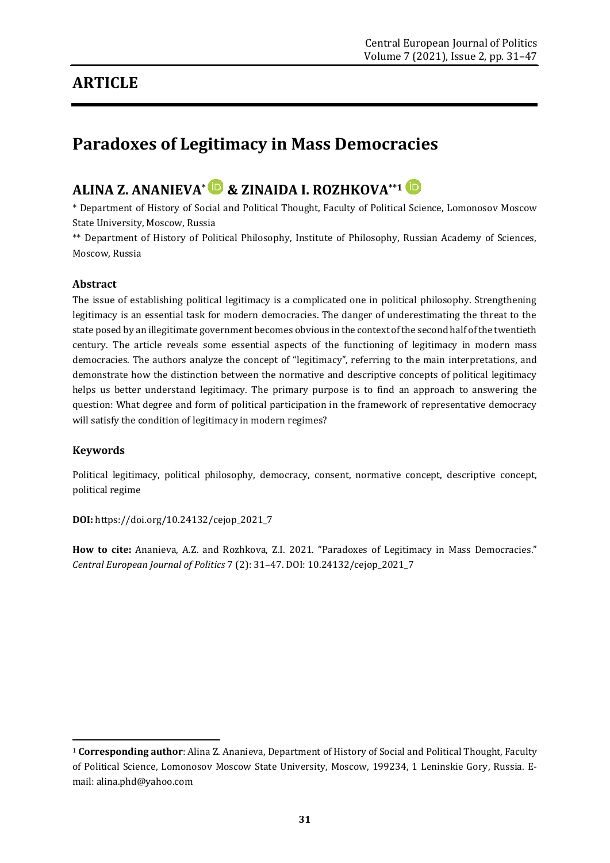## **ARTICLE**

# **Paradoxes of Legitimacy in Mass Democracies**

## **ALINA Z. ANANIEVA\* & ZINAIDA I. ROZHKOVA\*\*1**

\* Department of History of Social and Political Thought, Faculty of Political Science, Lomonosov Moscow State University, Moscow, Russia

\*\* Department of History of Political Philosophy, Institute of Philosophy, Russian Academy of Sciences, Moscow, Russia

#### **Abstract**

The issue of establishing political legitimacy is a complicated one in political philosophy. Strengthening legitimacy is an essential task for modern democracies. The danger of underestimating the threat to the state posed by an illegitimate government becomes obvious in the context of the second half of the twentieth century. The article reveals some essential aspects of the functioning of legitimacy in modern mass democracies. The authors analyze the concept of "legitimacy", referring to the main interpretations, and demonstrate how the distinction between the normative and descriptive concepts of political legitimacy helps us better understand legitimacy. The primary purpose is to find an approach to answering the question: What degree and form of political participation in the framework of representative democracy will satisfy the condition of legitimacy in modern regimes?

#### **Keywords**

**.** 

Political legitimacy, political philosophy, democracy, consent, normative concept, descriptive concept, political regime

**DOI:** [https://doi.org/10.24132/c](https://doi.org/10.24132/)ejop\_2021\_7

**How to cite:** Ananieva, A.Z. and Rozhkova, Z.I. 2021. "Paradoxes of Legitimacy in Mass Democracies." *Central European Journal of Politics* 7 (2): 31–47. DOI: 10.24132/cejop\_2021\_7

<sup>1</sup> **Corresponding author**: Alina Z. Ananieva, Department of History of Social and Political Thought, Faculty of Political Science, Lomonosov Moscow State University, Moscow, 199234, 1 Leninskie Gory, Russia. Email: alina.phd@yahoo.com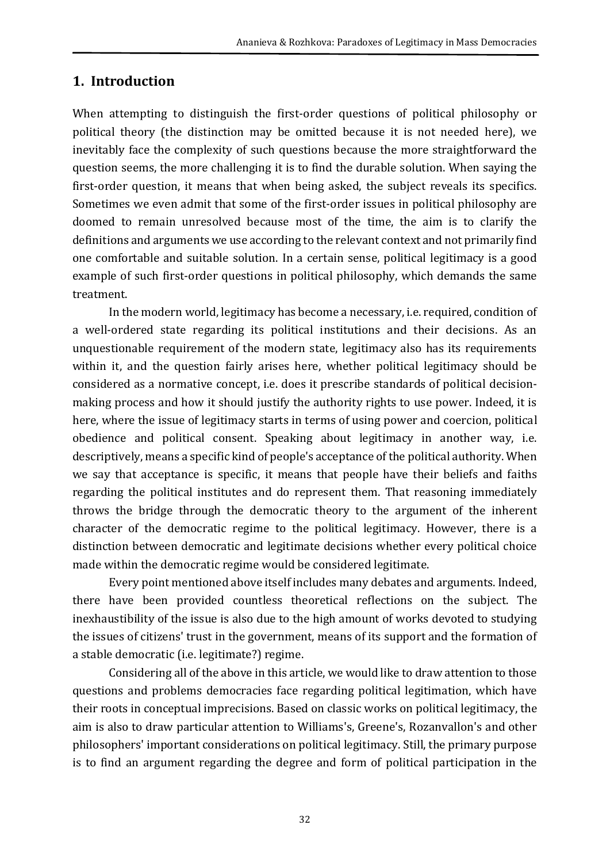### **1. Introduction**

When attempting to distinguish the first-order questions of political philosophy or political theory (the distinction may be omitted because it is not needed here), we inevitably face the complexity of such questions because the more straightforward the question seems, the more challenging it is to find the durable solution. When saying the first-order question, it means that when being asked, the subject reveals its specifics. Sometimes we even admit that some of the first-order issues in political philosophy are doomed to remain unresolved because most of the time, the aim is to clarify the definitions and arguments we use according to the relevant context and not primarily find one comfortable and suitable solution. In a certain sense, political legitimacy is a good example of such first-order questions in political philosophy, which demands the same treatment.

In the modern world, legitimacy has become a necessary, i.e. required, condition of a well-ordered state regarding its political institutions and their decisions. As an unquestionable requirement of the modern state, legitimacy also has its requirements within it, and the question fairly arises here, whether political legitimacy should be considered as a normative concept, i.e. does it prescribe standards of political decisionmaking process and how it should justify the authority rights to use power. Indeed, it is here, where the issue of legitimacy starts in terms of using power and coercion, political obedience and political consent. Speaking about legitimacy in another way, i.e. descriptively, means a specific kind of people's acceptance of the political authority. When we say that acceptance is specific, it means that people have their beliefs and faiths regarding the political institutes and do represent them. That reasoning immediately throws the bridge through the democratic theory to the argument of the inherent character of the democratic regime to the political legitimacy. However, there is a distinction between democratic and legitimate decisions whether every political choice made within the democratic regime would be considered legitimate.

Every point mentioned above itself includes many debates and arguments. Indeed, there have been provided countless theoretical reflections on the subject. The inexhaustibility of the issue is also due to the high amount of works devoted to studying the issues of citizens' trust in the government, means of its support and the formation of a stable democratic (i.e. legitimate?) regime.

Considering all of the above in this article, we would like to draw attention to those questions and problems democracies face regarding political legitimation, which have their roots in conceptual imprecisions. Based on classic works on political legitimacy, the aim is also to draw particular attention to Williams's, Greene's, Rozanvallon's and other philosophers' important considerations on political legitimacy. Still, the primary purpose is to find an argument regarding the degree and form of political participation in the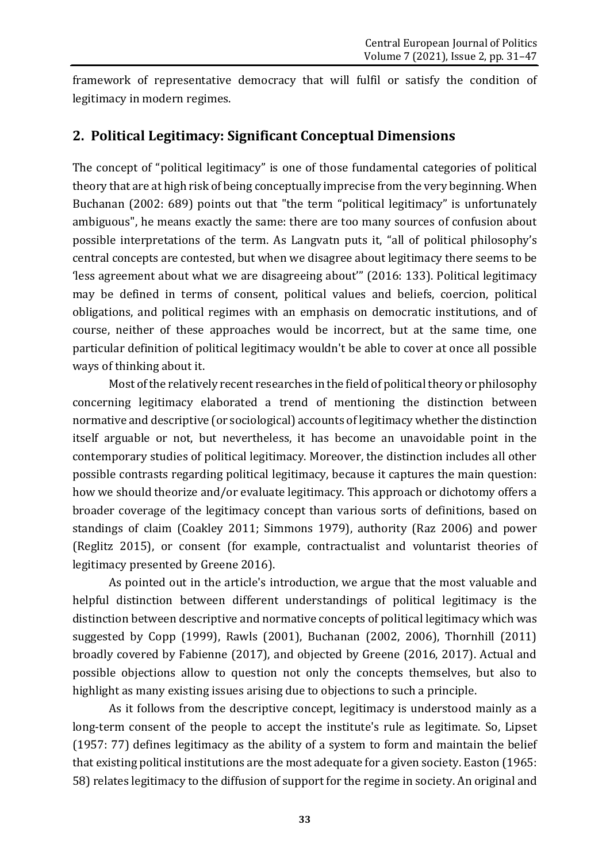framework of representative democracy that will fulfil or satisfy the condition of legitimacy in modern regimes.

### **2. Political Legitimacy: Significant Conceptual Dimensions**

The concept of "political legitimacy" is one of those fundamental categories of political theory that are at high risk of being conceptually imprecise from the very beginning. When Buchanan (2002: 689) points out that "the term "political legitimacy" is unfortunately ambiguous", he means exactly the same: there are too many sources of confusion about possible interpretations of the term. As Langvatn puts it, "all of political philosophy's central concepts are contested, but when we disagree about legitimacy there seems to be 'less agreement about what we are disagreeing about'" (2016: 133). Political legitimacy may be defined in terms of consent, political values and beliefs, coercion, political obligations, and political regimes with an emphasis on democratic institutions, and of course, neither of these approaches would be incorrect, but at the same time, one particular definition of political legitimacy wouldn't be able to cover at once all possible ways of thinking about it.

Most of the relatively recent researches in the field of political theory or philosophy concerning legitimacy elaborated a trend of mentioning the distinction between normative and descriptive (or sociological) accounts of legitimacy whether the distinction itself arguable or not, but nevertheless, it has become an unavoidable point in the contemporary studies of political legitimacy. Moreover, the distinction includes all other possible contrasts regarding political legitimacy, because it captures the main question: how we should theorize and/or evaluate legitimacy. This approach or dichotomy offers a broader coverage of the legitimacy concept than various sorts of definitions, based on standings of claim (Coakley 2011; Simmons 1979), authority (Raz 2006) and power (Reglitz 2015), or consent (for example, contractualist and voluntarist theories of legitimacy presented by Greene 2016).

As pointed out in the article's introduction, we argue that the most valuable and helpful distinction between different understandings of political legitimacy is the distinction between descriptive and normative concepts of political legitimacy which was suggested by Copp (1999), Rawls (2001), Buchanan (2002, 2006), Thornhill (2011) broadly covered by Fabienne (2017), and objected by Greene (2016, 2017). Actual and possible objections allow to question not only the concepts themselves, but also to highlight as many existing issues arising due to objections to such a principle.

As it follows from the descriptive concept, legitimacy is understood mainly as a long-term consent of the people to accept the institute's rule as legitimate. So, Lipset (1957: 77) defines legitimacy as the ability of a system to form and maintain the belief that existing political institutions are the most adequate for a given society. Easton (1965: 58) relates legitimacy to the diffusion of support for the regime in society. An original and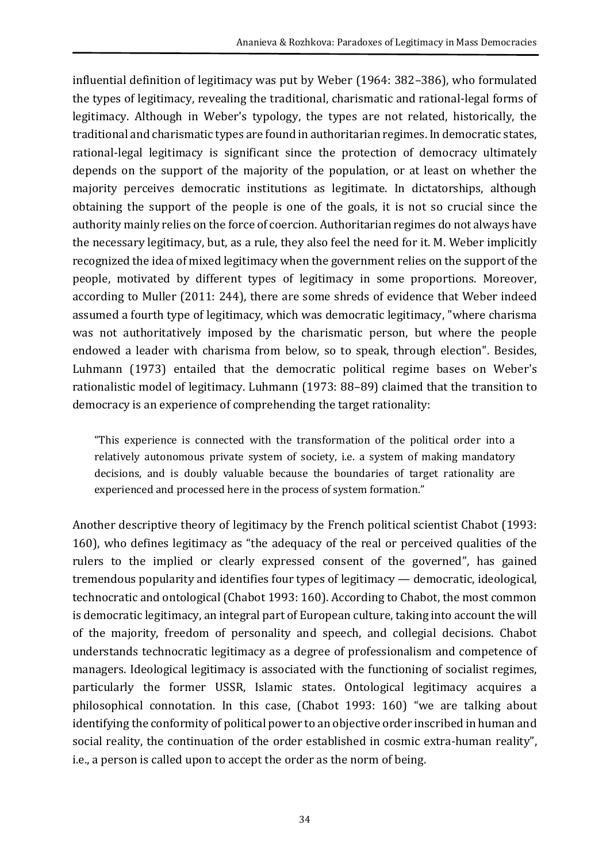influential definition of legitimacy was put by Weber (1964: 382–386), who formulated the types of legitimacy, revealing the traditional, charismatic and rational-legal forms of legitimacy. Although in Weber's typology, the types are not related, historically, the traditional and charismatic types are found in authoritarian regimes. In democratic states, rational-legal legitimacy is significant since the protection of democracy ultimately depends on the support of the majority of the population, or at least on whether the majority perceives democratic institutions as legitimate. In dictatorships, although obtaining the support of the people is one of the goals, it is not so crucial since the authority mainly relies on the force of coercion. Authoritarian regimes do not always have the necessary legitimacy, but, as a rule, they also feel the need for it. M. Weber implicitly recognized the idea of mixed legitimacy when the government relies on the support of the people, motivated by different types of legitimacy in some proportions. Moreover, according to Muller (2011: 244), there are some shreds of evidence that Weber indeed assumed a fourth type of legitimacy, which was democratic legitimacy, "where charisma was not authoritatively imposed by the charismatic person, but where the people endowed a leader with charisma from below, so to speak, through election". Besides, Luhmann (1973) entailed that the democratic political regime bases on Weber's rationalistic model of legitimacy. Luhmann (1973: 88–89) claimed that the transition to democracy is an experience of comprehending the target rationality:

"This experience is connected with the transformation of the political order into a relatively autonomous private system of society, i.e. a system of making mandatory decisions, and is doubly valuable because the boundaries of target rationality are experienced and processed here in the process of system formation."

Another descriptive theory of legitimacy by the French political scientist Chabot (1993: 160), who defines legitimacy as "the adequacy of the real or perceived qualities of the rulers to the implied or clearly expressed consent of the governed", has gained tremendous popularity and identifies four types of legitimacy — democratic, ideological, technocratic and ontological (Chabot 1993: 160). According to Chabot, the most common is democratic legitimacy, an integral part of European culture, taking into account the will of the majority, freedom of personality and speech, and collegial decisions. Chabot understands technocratic legitimacy as a degree of professionalism and competence of managers. Ideological legitimacy is associated with the functioning of socialist regimes, particularly the former USSR, Islamic states. Ontological legitimacy acquires a philosophical connotation. In this case, (Chabot 1993: 160) "we are talking about identifying the conformity of political power to an objective order inscribed in human and social reality, the continuation of the order established in cosmic extra-human reality", i.e., a person is called upon to accept the order as the norm of being.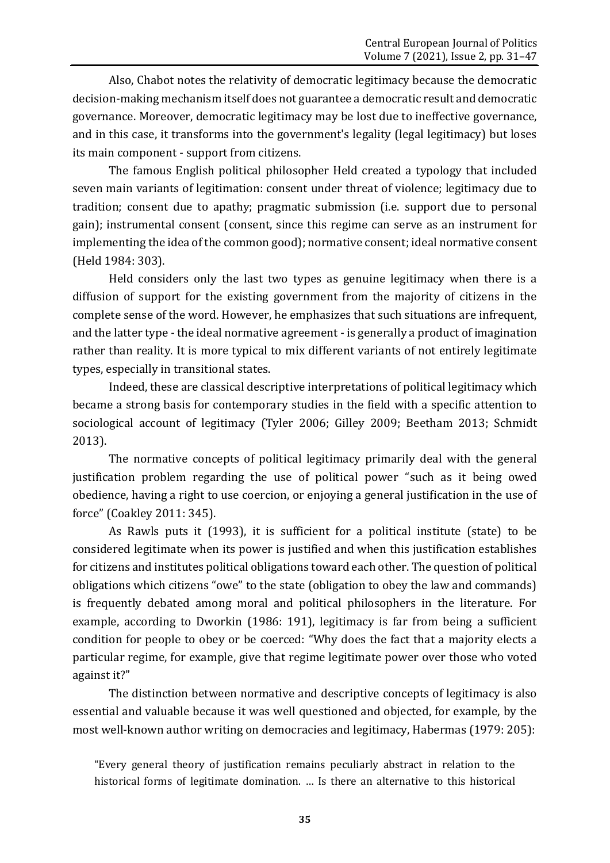Also, Chabot notes the relativity of democratic legitimacy because the democratic decision-making mechanism itself does not guarantee a democratic result and democratic governance. Moreover, democratic legitimacy may be lost due to ineffective governance, and in this case, it transforms into the government's legality (legal legitimacy) but loses its main component - support from citizens.

The famous English political philosopher Held created a typology that included seven main variants of legitimation: consent under threat of violence; legitimacy due to tradition; consent due to apathy; pragmatic submission (i.e. support due to personal gain); instrumental consent (consent, since this regime can serve as an instrument for implementing the idea of the common good); normative consent; ideal normative consent (Held 1984: 303).

Held considers only the last two types as genuine legitimacy when there is a diffusion of support for the existing government from the majority of citizens in the complete sense of the word. However, he emphasizes that such situations are infrequent, and the latter type - the ideal normative agreement - is generally a product of imagination rather than reality. It is more typical to mix different variants of not entirely legitimate types, especially in transitional states.

Indeed, these are classical descriptive interpretations of political legitimacy which became a strong basis for contemporary studies in the field with a specific attention to sociological account of legitimacy (Tyler 2006; Gilley 2009; Beetham 2013; Schmidt 2013).

The normative concepts of political legitimacy primarily deal with the general justification problem regarding the use of political power "such as it being owed obedience, having a right to use coercion, or enjoying a general justification in the use of force" (Coakley 2011: 345).

As Rawls puts it (1993), it is sufficient for a political institute (state) to be considered legitimate when its power is justified and when this justification establishes for citizens and institutes political obligations toward each other. The question of political obligations which citizens "owe" to the state (obligation to obey the law and commands) is frequently debated among moral and political philosophers in the literature. For example, according to Dworkin (1986: 191), legitimacy is far from being a sufficient condition for people to obey or be coerced: "Why does the fact that a majority elects a particular regime, for example, give that regime legitimate power over those who voted against it?"

The distinction between normative and descriptive concepts of legitimacy is also essential and valuable because it was well questioned and objected, for example, by the most well-known author writing on democracies and legitimacy, Habermas (1979: 205):

"Every general theory of justification remains peculiarly abstract in relation to the historical forms of legitimate domination. … Is there an alternative to this historical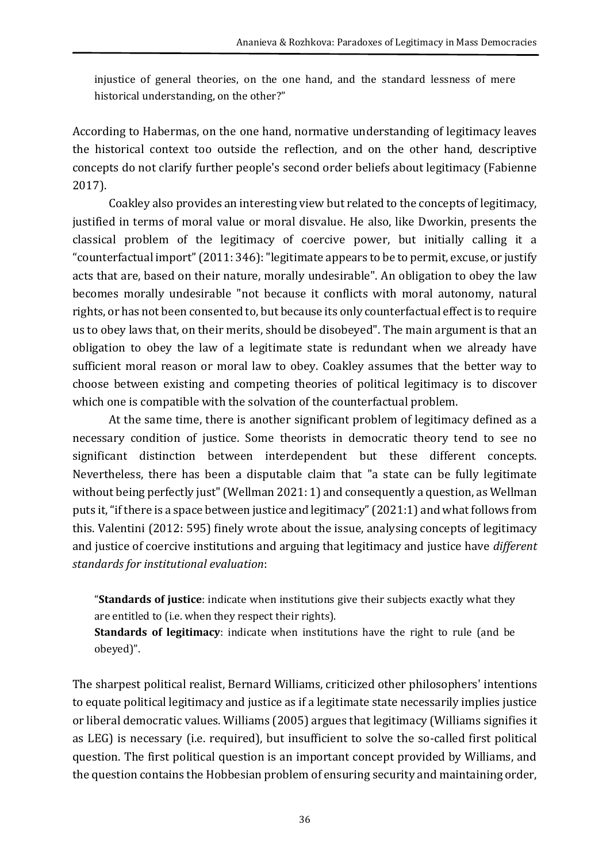injustice of general theories, on the one hand, and the standard lessness of mere historical understanding, on the other?"

According to Habermas, on the one hand, normative understanding of legitimacy leaves the historical context too outside the reflection, and on the other hand, descriptive concepts do not clarify further people's second order beliefs about legitimacy (Fabienne 2017).

Coakley also provides an interesting view but related to the concepts of legitimacy, justified in terms of moral value or moral disvalue. He also, like Dworkin, presents the classical problem of the legitimacy of coercive power, but initially calling it a "counterfactual import"(2011: 346): "legitimate appears to be to permit, excuse, or justify acts that are, based on their nature, morally undesirable". An obligation to obey the law becomes morally undesirable "not because it conflicts with moral autonomy, natural rights, or has not been consented to, but because its only counterfactual effect is to require us to obey laws that, on their merits, should be disobeyed". The main argument is that an obligation to obey the law of a legitimate state is redundant when we already have sufficient moral reason or moral law to obey. Coakley assumes that the better way to choose between existing and competing theories of political legitimacy is to discover which one is compatible with the solvation of the counterfactual problem.

At the same time, there is another significant problem of legitimacy defined as a necessary condition of justice. Some theorists in democratic theory tend to see no significant distinction between interdependent but these different concepts. Nevertheless, there has been a disputable claim that "a state can be fully legitimate without being perfectly just" (Wellman 2021: 1) and consequently a question, as Wellman puts it, "if there is a space between justice and legitimacy"(2021:1) and what follows from this. Valentini (2012: 595) finely wrote about the issue, analysing concepts of legitimacy and justice of coercive institutions and arguing that legitimacy and justice have *different standards for institutional evaluation*:

"**Standards of justice**: indicate when institutions give their subjects exactly what they are entitled to (i.e. when they respect their rights).

**Standards of legitimacy**: indicate when institutions have the right to rule (and be obeyed)".

The sharpest political realist, Bernard Williams, criticized other philosophers' intentions to equate political legitimacy and justice as if a legitimate state necessarily implies justice or liberal democratic values. Williams (2005) argues that legitimacy (Williams signifies it as LEG) is necessary (i.e. required), but insufficient to solve the so-called first political question. The first political question is an important concept provided by Williams, and the question contains the Hobbesian problem of ensuring security and maintaining order,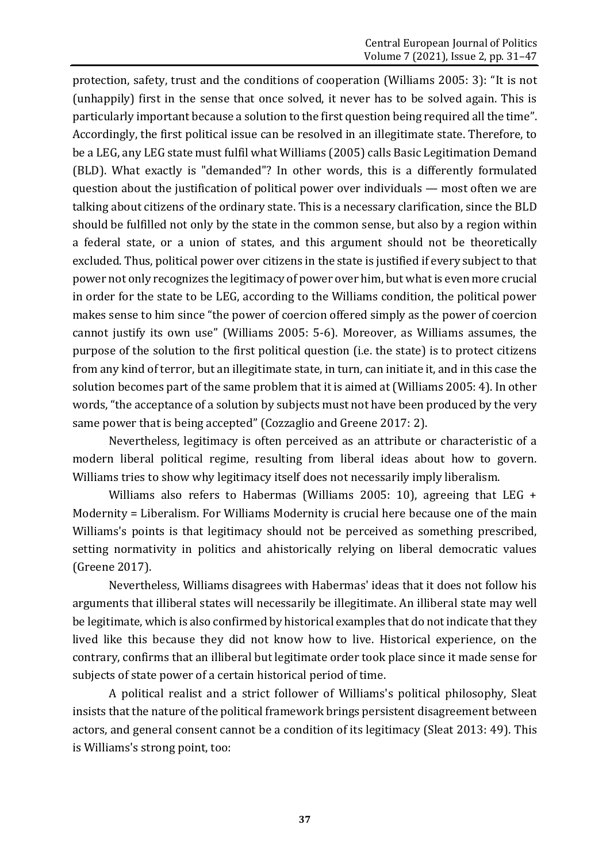protection, safety, trust and the conditions of cooperation (Williams 2005: 3): "It is not (unhappily) first in the sense that once solved, it never has to be solved again. This is particularly important because a solution to the first question being required all the time". Accordingly, the first political issue can be resolved in an illegitimate state. Therefore, to be a LEG, any LEG state must fulfil what Williams (2005) calls Basic Legitimation Demand (BLD). What exactly is "demanded"? In other words, this is a differently formulated question about the justification of political power over individuals — most often we are talking about citizens of the ordinary state. This is a necessary clarification, since the BLD should be fulfilled not only by the state in the common sense, but also by a region within a federal state, or a union of states, and this argument should not be theoretically excluded. Thus, political power over citizens in the state is justified if every subject to that power not only recognizes the legitimacy of power over him, but what is even more crucial in order for the state to be LEG, according to the Williams condition, the political power makes sense to him since "the power of coercion offered simply as the power of coercion cannot justify its own use" (Williams 2005: 5-6). Moreover, as Williams assumes, the purpose of the solution to the first political question (i.e. the state) is to protect citizens from any kind of terror, but an illegitimate state, in turn, can initiate it, and in this case the solution becomes part of the same problem that it is aimed at (Williams 2005: 4). In other words, "the acceptance of a solution by subjects must not have been produced by the very same power that is being accepted" (Cozzaglio and Greene 2017: 2).

Nevertheless, legitimacy is often perceived as an attribute or characteristic of a modern liberal political regime, resulting from liberal ideas about how to govern. Williams tries to show why legitimacy itself does not necessarily imply liberalism.

Williams also refers to Habermas (Williams 2005: 10), agreeing that LEG + Modernity = Liberalism. For Williams Modernity is crucial here because one of the main Williams's points is that legitimacy should not be perceived as something prescribed, setting normativity in politics and ahistorically relying on liberal democratic values (Greene 2017).

Nevertheless, Williams disagrees with Habermas' ideas that it does not follow his arguments that illiberal states will necessarily be illegitimate. An illiberal state may well be legitimate, which is also confirmed by historical examples that do not indicate that they lived like this because they did not know how to live. Historical experience, on the contrary, confirms that an illiberal but legitimate order took place since it made sense for subjects of state power of a certain historical period of time.

A political realist and a strict follower of Williams's political philosophy, Sleat insists that the nature of the political framework brings persistent disagreement between actors, and general consent cannot be a condition of its legitimacy (Sleat 2013: 49). This is Williams's strong point, too: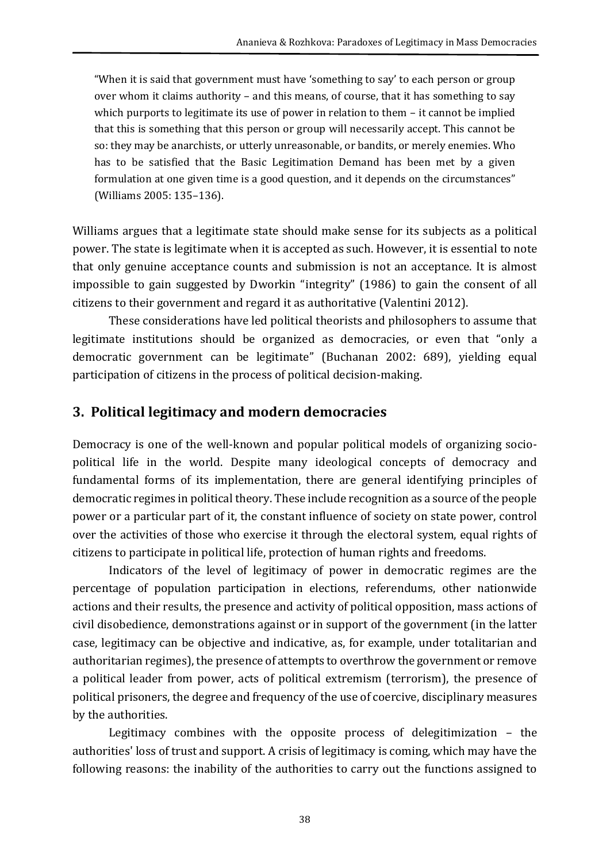"When it is said that government must have 'something to say' to each person or group over whom it claims authority – and this means, of course, that it has something to say which purports to legitimate its use of power in relation to them – it cannot be implied that this is something that this person or group will necessarily accept. This cannot be so: they may be anarchists, or utterly unreasonable, or bandits, or merely enemies. Who has to be satisfied that the Basic Legitimation Demand has been met by a given formulation at one given time is a good question, and it depends on the circumstances" (Williams 2005: 135–136).

Williams argues that a legitimate state should make sense for its subjects as a political power. The state is legitimate when it is accepted as such. However, it is essential to note that only genuine acceptance counts and submission is not an acceptance. It is almost impossible to gain suggested by Dworkin "integrity" (1986) to gain the consent of all citizens to their government and regard it as authoritative (Valentini 2012).

These considerations have led political theorists and philosophers to assume that legitimate institutions should be organized as democracies, or even that "only a democratic government can be legitimate" (Buchanan 2002: 689), yielding equal participation of citizens in the process of political decision-making.

## **3. Political legitimacy and modern democracies**

Democracy is one of the well-known and popular political models of organizing sociopolitical life in the world. Despite many ideological concepts of democracy and fundamental forms of its implementation, there are general identifying principles of democratic regimes in political theory. These include recognition as a source of the people power or a particular part of it, the constant influence of society on state power, control over the activities of those who exercise it through the electoral system, equal rights of citizens to participate in political life, protection of human rights and freedoms.

Indicators of the level of legitimacy of power in democratic regimes are the percentage of population participation in elections, referendums, other nationwide actions and their results, the presence and activity of political opposition, mass actions of civil disobedience, demonstrations against or in support of the government (in the latter case, legitimacy can be objective and indicative, as, for example, under totalitarian and authoritarian regimes), the presence of attempts to overthrow the government or remove a political leader from power, acts of political extremism (terrorism), the presence of political prisoners, the degree and frequency of the use of coercive, disciplinary measures by the authorities.

Legitimacy combines with the opposite process of delegitimization – the authorities' loss of trust and support. A crisis of legitimacy is coming, which may have the following reasons: the inability of the authorities to carry out the functions assigned to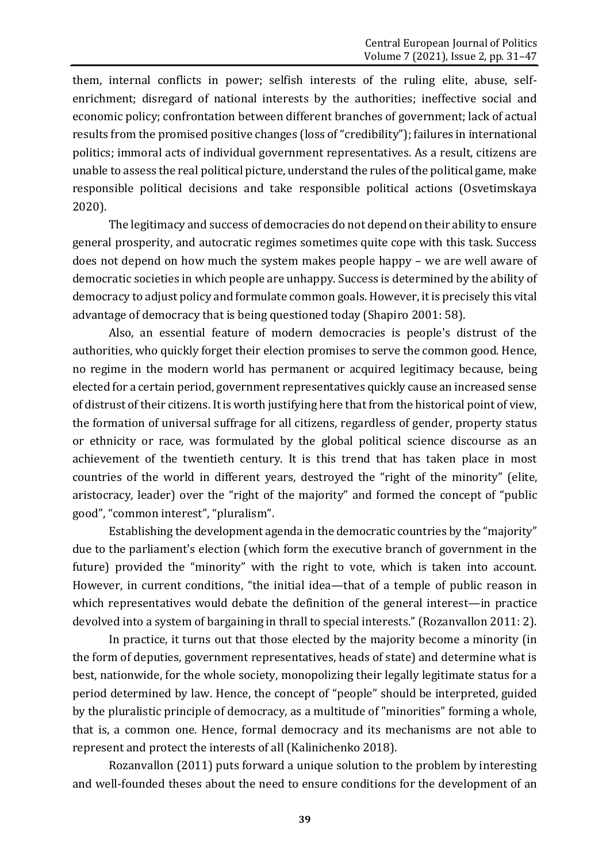them, internal conflicts in power; selfish interests of the ruling elite, abuse, selfenrichment; disregard of national interests by the authorities; ineffective social and economic policy; confrontation between different branches of government; lack of actual results from the promised positive changes (loss of "credibility"); failures in international politics; immoral acts of individual government representatives. As a result, citizens are unable to assess the real political picture, understand the rules of the political game, make responsible political decisions and take responsible political actions (Osvetimskaya 2020).

The legitimacy and success of democracies do not depend on their ability to ensure general prosperity, and autocratic regimes sometimes quite cope with this task. Success does not depend on how much the system makes people happy – we are well aware of democratic societies in which people are unhappy. Success is determined by the ability of democracy to adjust policy and formulate common goals. However, it is precisely this vital advantage of democracy that is being questioned today (Shapiro 2001: 58).

Also, an essential feature of modern democracies is people's distrust of the authorities, who quickly forget their election promises to serve the common good. Hence, no regime in the modern world has permanent or acquired legitimacy because, being elected for a certain period, government representatives quickly cause an increased sense of distrust of their citizens. It is worth justifying here that from the historical point of view, the formation of universal suffrage for all citizens, regardless of gender, property status or ethnicity or race, was formulated by the global political science discourse as an achievement of the twentieth century. It is this trend that has taken place in most countries of the world in different years, destroyed the "right of the minority" (elite, aristocracy, leader) over the "right of the majority" and formed the concept of "public good", "common interest", "pluralism".

Establishing the development agenda in the democratic countries by the "majority" due to the parliament's election (which form the executive branch of government in the future) provided the "minority" with the right to vote, which is taken into account. However, in current conditions, "the initial idea—that of a temple of public reason in which representatives would debate the definition of the general interest—in practice devolved into a system of bargaining in thrall to special interests." (Rozanvallon 2011: 2).

In practice, it turns out that those elected by the majority become a minority (in the form of deputies, government representatives, heads of state) and determine what is best, nationwide, for the whole society, monopolizing their legally legitimate status for a period determined by law. Hence, the concept of "people" should be interpreted, guided by the pluralistic principle of democracy, as a multitude of "minorities" forming a whole, that is, a common one. Hence, formal democracy and its mechanisms are not able to represent and protect the interests of all (Kalinichenko 2018).

Rozanvallon (2011) puts forward a unique solution to the problem by interesting and well-founded theses about the need to ensure conditions for the development of an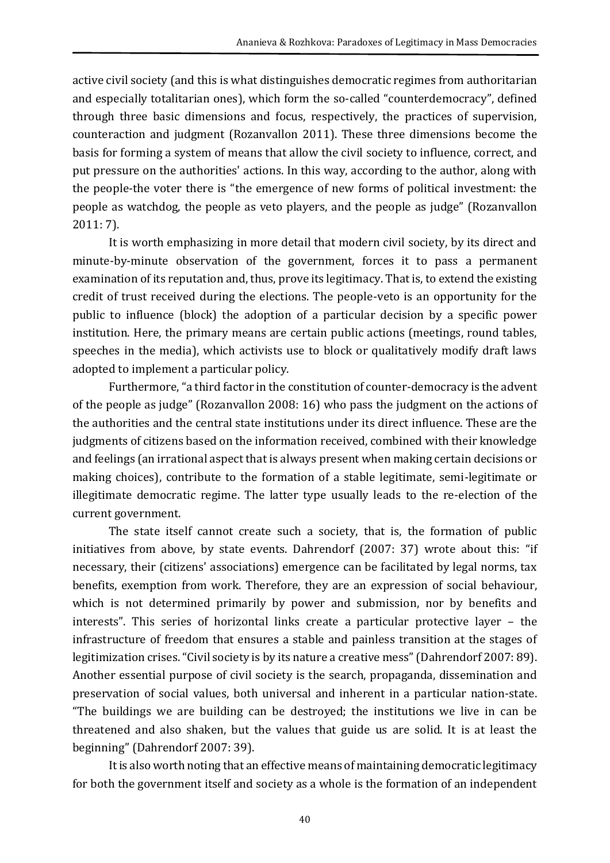active civil society (and this is what distinguishes democratic regimes from authoritarian and especially totalitarian ones), which form the so-called "counterdemocracy", defined through three basic dimensions and focus, respectively, the practices of supervision, counteraction and judgment (Rozanvallon 2011). These three dimensions become the basis for forming a system of means that allow the civil society to influence, correct, and put pressure on the authorities' actions. In this way, according to the author, along with the people-the voter there is "the emergence of new forms of political investment: the people as watchdog, the people as veto players, and the people as judge" (Rozanvallon 2011: 7).

It is worth emphasizing in more detail that modern civil society, by its direct and minute-by-minute observation of the government, forces it to pass a permanent examination of its reputation and, thus, prove its legitimacy. That is, to extend the existing credit of trust received during the elections. The people-veto is an opportunity for the public to influence (block) the adoption of a particular decision by a specific power institution. Here, the primary means are certain public actions (meetings, round tables, speeches in the media), which activists use to block or qualitatively modify draft laws adopted to implement a particular policy.

Furthermore, "a third factor in the constitution of counter-democracy is the advent of the people as judge" (Rozanvallon 2008: 16) who pass the judgment on the actions of the authorities and the central state institutions under its direct influence. These are the judgments of citizens based on the information received, combined with their knowledge and feelings (an irrational aspect that is always present when making certain decisions or making choices), contribute to the formation of a stable legitimate, semi-legitimate or illegitimate democratic regime. The latter type usually leads to the re-election of the current government.

The state itself cannot create such a society, that is, the formation of public initiatives from above, by state events. Dahrendorf (2007: 37) wrote about this: "if necessary, their (citizens' associations) emergence can be facilitated by legal norms, tax benefits, exemption from work. Therefore, they are an expression of social behaviour, which is not determined primarily by power and submission, nor by benefits and interests". This series of horizontal links create a particular protective layer – the infrastructure of freedom that ensures a stable and painless transition at the stages of legitimization crises. "Civil society is by its nature a creative mess"(Dahrendorf 2007: 89). Another essential purpose of civil society is the search, propaganda, dissemination and preservation of social values, both universal and inherent in a particular nation-state. "The buildings we are building can be destroyed; the institutions we live in can be threatened and also shaken, but the values that guide us are solid. It is at least the beginning" (Dahrendorf 2007: 39).

It is also worth noting that an effective means of maintaining democratic legitimacy for both the government itself and society as a whole is the formation of an independent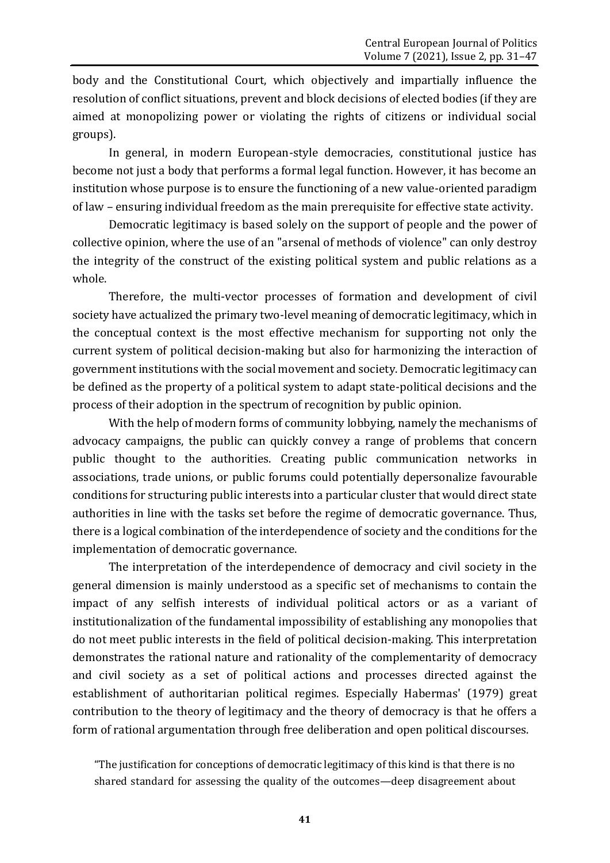body and the Constitutional Court, which objectively and impartially influence the resolution of conflict situations, prevent and block decisions of elected bodies (if they are aimed at monopolizing power or violating the rights of citizens or individual social groups).

In general, in modern European-style democracies, constitutional justice has become not just a body that performs a formal legal function. However, it has become an institution whose purpose is to ensure the functioning of a new value-oriented paradigm of law – ensuring individual freedom as the main prerequisite for effective state activity.

Democratic legitimacy is based solely on the support of people and the power of collective opinion, where the use of an "arsenal of methods of violence" can only destroy the integrity of the construct of the existing political system and public relations as a whole.

Therefore, the multi-vector processes of formation and development of civil society have actualized the primary two-level meaning of democratic legitimacy, which in the conceptual context is the most effective mechanism for supporting not only the current system of political decision-making but also for harmonizing the interaction of government institutions with the social movement and society. Democratic legitimacy can be defined as the property of a political system to adapt state-political decisions and the process of their adoption in the spectrum of recognition by public opinion.

With the help of modern forms of community lobbying, namely the mechanisms of advocacy campaigns, the public can quickly convey a range of problems that concern public thought to the authorities. Creating public communication networks in associations, trade unions, or public forums could potentially depersonalize favourable conditions for structuring public interests into a particular cluster that would direct state authorities in line with the tasks set before the regime of democratic governance. Thus, there is a logical combination of the interdependence of society and the conditions for the implementation of democratic governance.

The interpretation of the interdependence of democracy and civil society in the general dimension is mainly understood as a specific set of mechanisms to contain the impact of any selfish interests of individual political actors or as a variant of institutionalization of the fundamental impossibility of establishing any monopolies that do not meet public interests in the field of political decision-making. This interpretation demonstrates the rational nature and rationality of the complementarity of democracy and civil society as a set of political actions and processes directed against the establishment of authoritarian political regimes. Especially Habermas' (1979) great contribution to the theory of legitimacy and the theory of democracy is that he offers a form of rational argumentation through free deliberation and open political discourses.

"The justification for conceptions of democratic legitimacy of this kind is that there is no shared standard for assessing the quality of the outcomes—deep disagreement about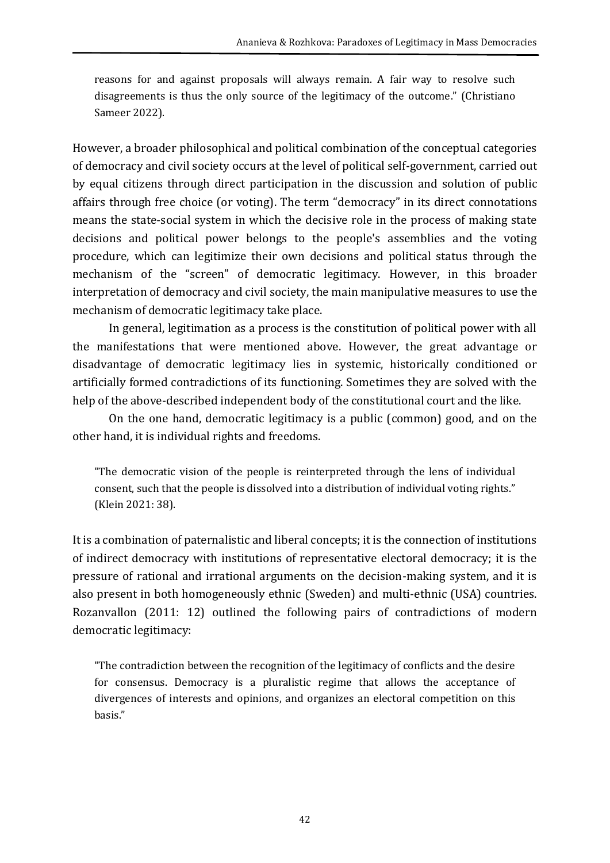reasons for and against proposals will always remain. A fair way to resolve such disagreements is thus the only source of the legitimacy of the outcome." (Christiano Sameer 2022).

However, a broader philosophical and political combination of the conceptual categories of democracy and civil society occurs at the level of political self-government, carried out by equal citizens through direct participation in the discussion and solution of public affairs through free choice (or voting). The term "democracy" in its direct connotations means the state-social system in which the decisive role in the process of making state decisions and political power belongs to the people's assemblies and the voting procedure, which can legitimize their own decisions and political status through the mechanism of the "screen" of democratic legitimacy. However, in this broader interpretation of democracy and civil society, the main manipulative measures to use the mechanism of democratic legitimacy take place.

In general, legitimation as a process is the constitution of political power with all the manifestations that were mentioned above. However, the great advantage or disadvantage of democratic legitimacy lies in systemic, historically conditioned or artificially formed contradictions of its functioning. Sometimes they are solved with the help of the above-described independent body of the constitutional court and the like.

On the one hand, democratic legitimacy is a public (common) good, and on the other hand, it is individual rights and freedoms.

"The democratic vision of the people is reinterpreted through the lens of individual consent, such that the people is dissolved into a distribution of individual voting rights." (Klein 2021: 38).

It is a combination of paternalistic and liberal concepts; it is the connection of institutions of indirect democracy with institutions of representative electoral democracy; it is the pressure of rational and irrational arguments on the decision-making system, and it is also present in both homogeneously ethnic (Sweden) and multi-ethnic (USA) countries. Rozanvallon (2011: 12) outlined the following pairs of contradictions of modern democratic legitimacy:

"The contradiction between the recognition of the legitimacy of conflicts and the desire for consensus. Democracy is a pluralistic regime that allows the acceptance of divergences of interests and opinions, and organizes an electoral competition on this basis."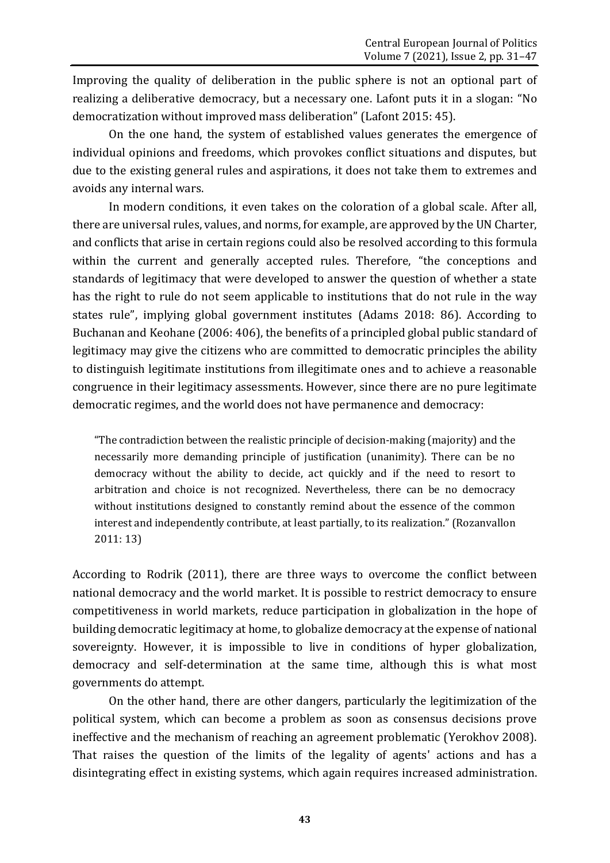Improving the quality of deliberation in the public sphere is not an optional part of realizing a deliberative democracy, but a necessary one. Lafont puts it in a slogan: "No democratization without improved mass deliberation" (Lafont 2015: 45).

On the one hand, the system of established values generates the emergence of individual opinions and freedoms, which provokes conflict situations and disputes, but due to the existing general rules and aspirations, it does not take them to extremes and avoids any internal wars.

In modern conditions, it even takes on the coloration of a global scale. After all, there are universal rules, values, and norms, for example, are approved by the UN Charter, and conflicts that arise in certain regions could also be resolved according to this formula within the current and generally accepted rules. Therefore, "the conceptions and standards of legitimacy that were developed to answer the question of whether a state has the right to rule do not seem applicable to institutions that do not rule in the way states rule", implying global government institutes (Adams 2018: 86). According to Buchanan and Keohane (2006: 406), the benefits of a principled global public standard of legitimacy may give the citizens who are committed to democratic principles the ability to distinguish legitimate institutions from illegitimate ones and to achieve a reasonable congruence in their legitimacy assessments. However, since there are no pure legitimate democratic regimes, and the world does not have permanence and democracy:

"The contradiction between the realistic principle of decision-making (majority) and the necessarily more demanding principle of justification (unanimity). There can be no democracy without the ability to decide, act quickly and if the need to resort to arbitration and choice is not recognized. Nevertheless, there can be no democracy without institutions designed to constantly remind about the essence of the common interest and independently contribute, at least partially, to its realization." (Rozanvallon 2011: 13)

According to Rodrik (2011), there are three ways to overcome the conflict between national democracy and the world market. It is possible to restrict democracy to ensure competitiveness in world markets, reduce participation in globalization in the hope of building democratic legitimacy at home, to globalize democracy at the expense of national sovereignty. However, it is impossible to live in conditions of hyper globalization, democracy and self-determination at the same time, although this is what most governments do attempt.

On the other hand, there are other dangers, particularly the legitimization of the political system, which can become a problem as soon as consensus decisions prove ineffective and the mechanism of reaching an agreement problematic (Yerokhov 2008). That raises the question of the limits of the legality of agents' actions and has a disintegrating effect in existing systems, which again requires increased administration.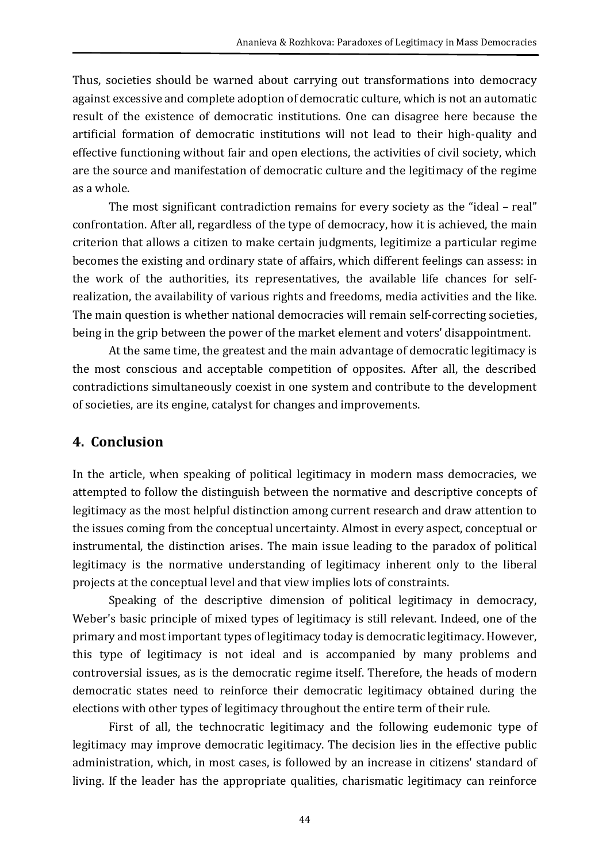Thus, societies should be warned about carrying out transformations into democracy against excessive and complete adoption of democratic culture, which is not an automatic result of the existence of democratic institutions. One can disagree here because the artificial formation of democratic institutions will not lead to their high-quality and effective functioning without fair and open elections, the activities of civil society, which are the source and manifestation of democratic culture and the legitimacy of the regime as a whole.

The most significant contradiction remains for every society as the "ideal – real" confrontation. After all, regardless of the type of democracy, how it is achieved, the main criterion that allows a citizen to make certain judgments, legitimize a particular regime becomes the existing and ordinary state of affairs, which different feelings can assess: in the work of the authorities, its representatives, the available life chances for selfrealization, the availability of various rights and freedoms, media activities and the like. The main question is whether national democracies will remain self-correcting societies, being in the grip between the power of the market element and voters' disappointment.

At the same time, the greatest and the main advantage of democratic legitimacy is the most conscious and acceptable competition of opposites. After all, the described contradictions simultaneously coexist in one system and contribute to the development of societies, are its engine, catalyst for changes and improvements.

#### **4. Conclusion**

In the article, when speaking of political legitimacy in modern mass democracies, we attempted to follow the distinguish between the normative and descriptive concepts of legitimacy as the most helpful distinction among current research and draw attention to the issues coming from the conceptual uncertainty. Almost in every aspect, conceptual or instrumental, the distinction arises. The main issue leading to the paradox of political legitimacy is the normative understanding of legitimacy inherent only to the liberal projects at the conceptual level and that view implies lots of constraints.

Speaking of the descriptive dimension of political legitimacy in democracy, Weber's basic principle of mixed types of legitimacy is still relevant. Indeed, one of the primary and most important types of legitimacy today is democratic legitimacy. However, this type of legitimacy is not ideal and is accompanied by many problems and controversial issues, as is the democratic regime itself. Therefore, the heads of modern democratic states need to reinforce their democratic legitimacy obtained during the elections with other types of legitimacy throughout the entire term of their rule.

First of all, the technocratic legitimacy and the following eudemonic type of legitimacy may improve democratic legitimacy. The decision lies in the effective public administration, which, in most cases, is followed by an increase in citizens' standard of living. If the leader has the appropriate qualities, charismatic legitimacy can reinforce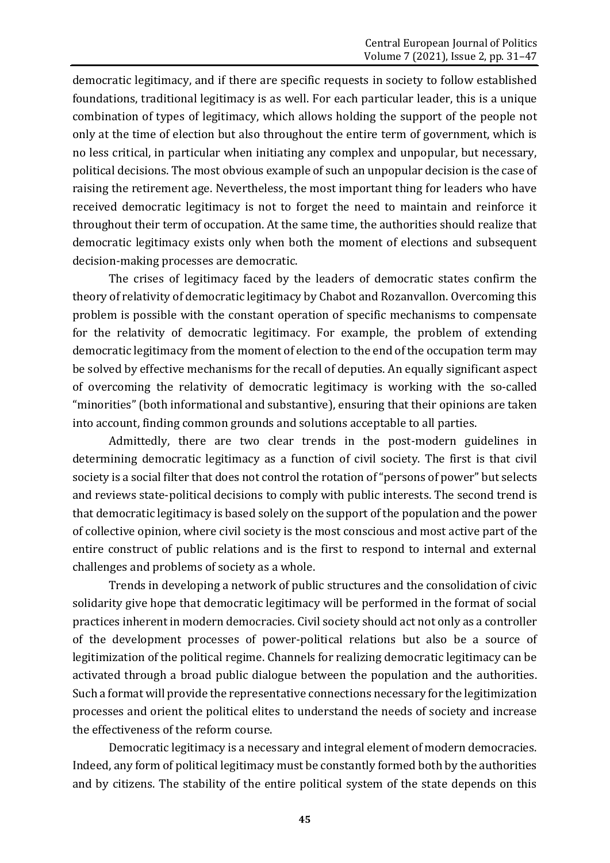democratic legitimacy, and if there are specific requests in society to follow established foundations, traditional legitimacy is as well. For each particular leader, this is a unique combination of types of legitimacy, which allows holding the support of the people not only at the time of election but also throughout the entire term of government, which is no less critical, in particular when initiating any complex and unpopular, but necessary, political decisions. The most obvious example of such an unpopular decision is the case of raising the retirement age. Nevertheless, the most important thing for leaders who have received democratic legitimacy is not to forget the need to maintain and reinforce it throughout their term of occupation. At the same time, the authorities should realize that democratic legitimacy exists only when both the moment of elections and subsequent decision-making processes are democratic.

The crises of legitimacy faced by the leaders of democratic states confirm the theory of relativity of democratic legitimacy by Chabot and Rozanvallon. Overcoming this problem is possible with the constant operation of specific mechanisms to compensate for the relativity of democratic legitimacy. For example, the problem of extending democratic legitimacy from the moment of election to the end of the occupation term may be solved by effective mechanisms for the recall of deputies. An equally significant aspect of overcoming the relativity of democratic legitimacy is working with the so-called "minorities" (both informational and substantive), ensuring that their opinions are taken into account, finding common grounds and solutions acceptable to all parties.

Admittedly, there are two clear trends in the post-modern guidelines in determining democratic legitimacy as a function of civil society. The first is that civil society is a social filter that does not control the rotation of "persons of power" but selects and reviews state-political decisions to comply with public interests. The second trend is that democratic legitimacy is based solely on the support of the population and the power of collective opinion, where civil society is the most conscious and most active part of the entire construct of public relations and is the first to respond to internal and external challenges and problems of society as a whole.

Trends in developing a network of public structures and the consolidation of civic solidarity give hope that democratic legitimacy will be performed in the format of social practices inherent in modern democracies. Civil society should act not only as a controller of the development processes of power-political relations but also be a source of legitimization of the political regime. Channels for realizing democratic legitimacy can be activated through a broad public dialogue between the population and the authorities. Such a format will provide the representative connections necessary for the legitimization processes and orient the political elites to understand the needs of society and increase the effectiveness of the reform course.

Democratic legitimacy is a necessary and integral element of modern democracies. Indeed, any form of political legitimacy must be constantly formed both by the authorities and by citizens. The stability of the entire political system of the state depends on this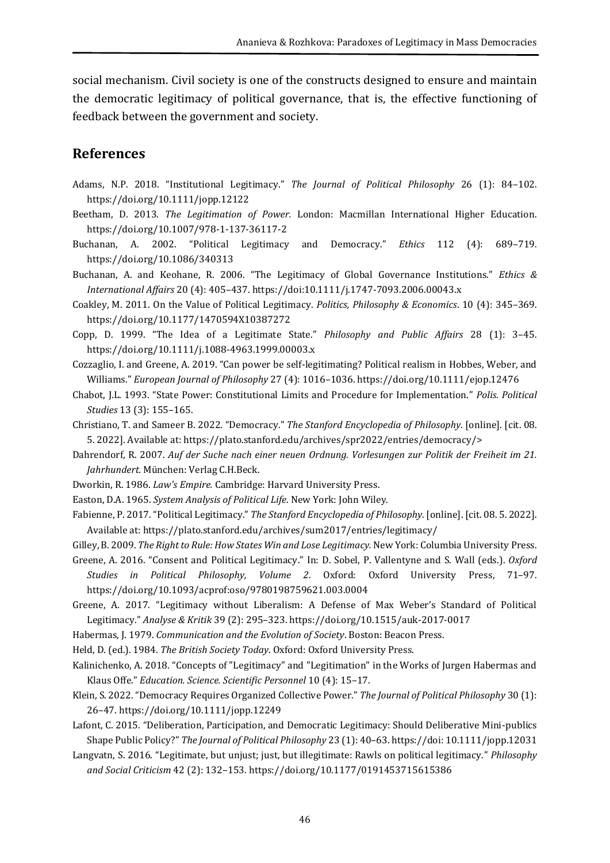social mechanism. Civil society is one of the constructs designed to ensure and maintain the democratic legitimacy of political governance, that is, the effective functioning of feedback between the government and society.

#### **References**

- Adams, N.P. 2018. "Institutional Legitimacy." *The Journal of Political Philosophy* 26 (1): 84–102. https://doi.org/10.1111/jopp.12122
- Beetham, D. 2013. *The Legitimation of Power.* London: Macmillan International Higher Education. <https://doi.org/10.1007/978-1-137-36117-2>
- Buchanan, A. 2002. "Political Legitimacy and Democracy." *Ethics* 112 (4): 689–719. https://doi.org/10.1086/340313
- Buchanan, A. and Keohane, R. 2006. "The Legitimacy of Global Governance Institutions." *Ethics & International Affairs* 20 (4): 405–437. https://doi:10.1111/j.1747-7093.2006.00043.x
- Coakley, M. 2011. On the Value of Political Legitimacy. *Politics, Philosophy & Economics*. 10 (4): 345–369. https://doi.org/10.1177/1470594X10387272
- Copp, D. 1999. "The Idea of a Legitimate State." *Philosophy and Public Affairs* 28 (1): 3–45. https://doi.org/10.1111/j.1088-4963.1999.00003.x
- Cozzaglio, I. and Greene, A. 2019. "Can power be self-legitimating? Political realism in Hobbes, Weber, and Williams." *European Journal of Philosophy* 27 (4): 1016–1036. https://doi.org/10.1111/ejop.12476
- Chabot, J.L. 1993. "State Power: Constitutional Limits and Procedure for Implementation." *Polis. Political Studies* 13 (3): 155–165.
- Christiano, T. and Sameer B. 2022. "Democracy." *The Stanford Encyclopedia of Philosophy*. [online]. [cit. 08. 5. 2022]. Available at: https://plato.stanford.edu/archives/spr2022/entries/democracy/>
- Dahrendorf, R. 2007. *Auf der Suche nach einer neuen Ordnung. Vorlesungen zur Politik der Freiheit im 21. Jahrhundert.* München: Verlag C.H.Beck.
- Dworkin, R. 1986. *Law's Empire.* Cambridge: Harvard University Press.
- Easton, D.A. 1965. *System Analysis of Political Life*. New York: John Wiley.
- Fabienne, P. 2017. "Political Legitimacy." *The Stanford Encyclopedia of Philosophy*. [online]. [cit. 08. 5. 2022]. Available at: https://plato.stanford.edu/archives/sum2017/entries/legitimacy/
- Gilley, B. 2009. *The Right to Rule: How States Win and Lose Legitimacy.* New York: Columbia University Press.
- Greene, A. 2016. "Consent and Political Legitimacy." In: D. Sobel, P. Vallentyne and S. Wall (eds.). *Oxford Studies in Political Philosophy, Volume 2*. Oxford: Oxford University Press, 71–97. https://doi.org/10.1093/acprof:oso/9780198759621.003.0004
- Greene, A. 2017. "Legitimacy without Liberalism: A Defense of Max Weber's Standard of Political Legitimacy." *Analyse & Kritik* 39 (2): 295–323. https://doi.org/10.1515/auk-2017-0017
- Habermas, J. 1979. *Communication and the Evolution of Society*. Boston: Beacon Press.
- Held, D. (ed.). 1984. *The British Society Today*. Oxford: Oxford University Press.
- Kalinichenko, A. 2018. "Concepts of "Legitimacy" and "Legitimation" in the Works of Jurgen Habermas and Klaus Offe." *Education. Science. Scientific Personnel* 10 (4): 15–17.
- Klein, S. 2022. "Democracy Requires Organized Collective Power." *The Journal of Political Philosophy* 30 (1): 26–47. https://doi.org/10.1111/jopp.12249
- Lafont, C. 2015. "Deliberation, Participation, and Democratic Legitimacy: Should Deliberative Mini-publics Shape Public Policy?" *The Journal of Political Philosophy* 23 (1): 40–63. https://doi: 10.1111/jopp.12031
- Langvatn, S. 2016. "Legitimate, but unjust; just, but illegitimate: Rawls on political legitimacy." *Philosophy and Social Criticism* 42 (2): 132–153. https://doi.org/10.1177/0191453715615386